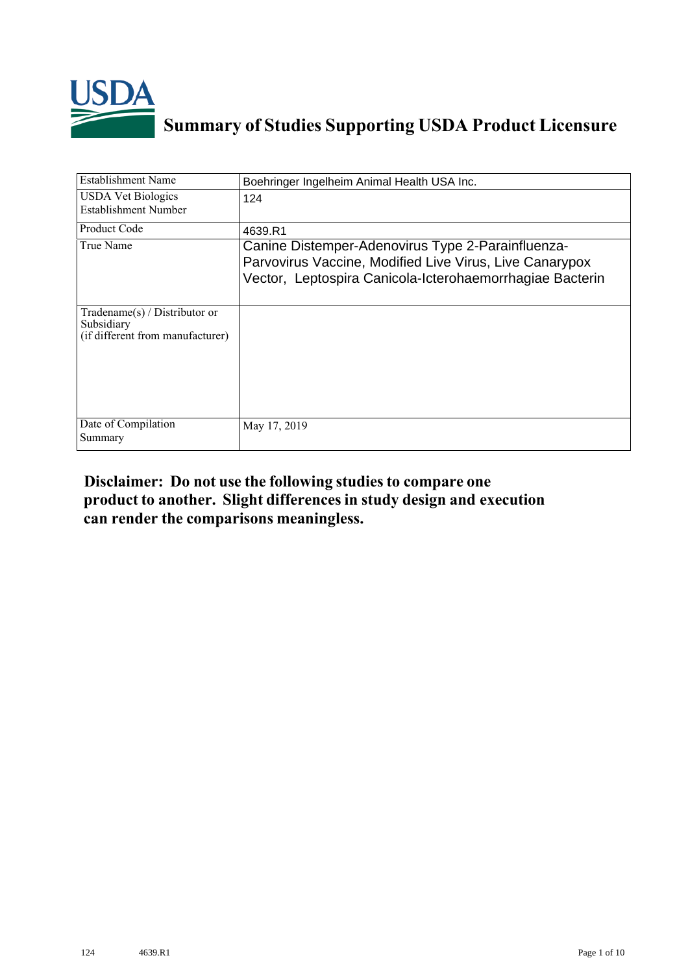

## **Summary of Studies Supporting USDA Product Licensure**

| <b>Establishment Name</b>                                                          | Boehringer Ingelheim Animal Health USA Inc.                                                                                                                              |
|------------------------------------------------------------------------------------|--------------------------------------------------------------------------------------------------------------------------------------------------------------------------|
| <b>USDA Vet Biologics</b><br>Establishment Number                                  | 124                                                                                                                                                                      |
| <b>Product Code</b>                                                                | 4639.R1                                                                                                                                                                  |
| True Name                                                                          | Canine Distemper-Adenovirus Type 2-Parainfluenza-<br>Parvovirus Vaccine, Modified Live Virus, Live Canarypox<br>Vector, Leptospira Canicola-Icterohaemorrhagiae Bacterin |
| Tradename $(s)$ / Distributor or<br>Subsidiary<br>(if different from manufacturer) |                                                                                                                                                                          |
| Date of Compilation<br>Summary                                                     | May 17, 2019                                                                                                                                                             |

## **Disclaimer: Do not use the following studiesto compare one product to another. Slight differencesin study design and execution can render the comparisons meaningless.**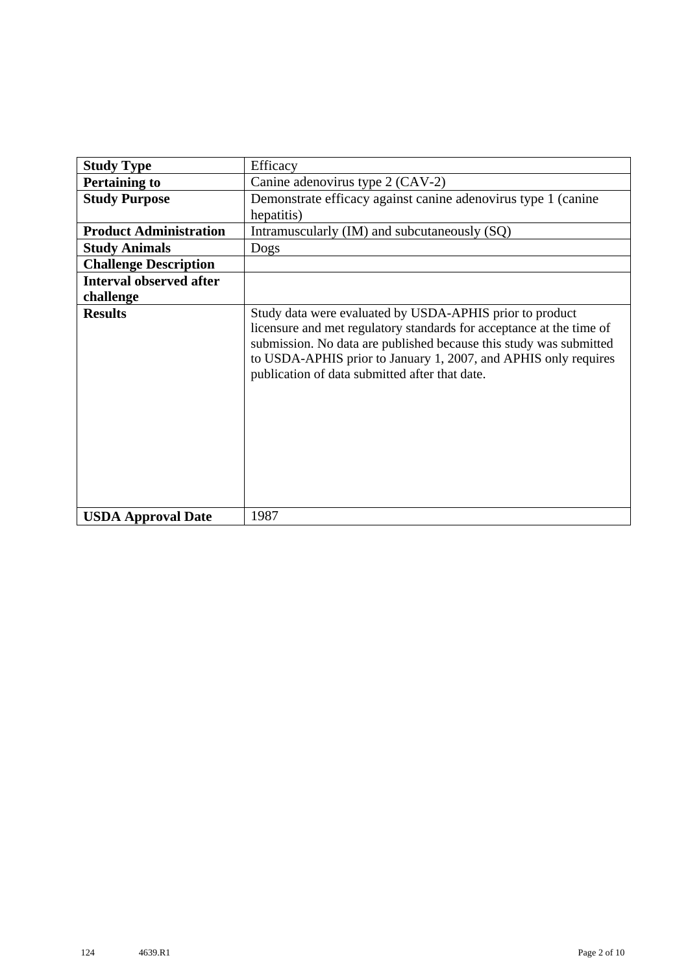| <b>Study Type</b>              | Efficacy                                                                                                                                                                                                                                                                                                                    |
|--------------------------------|-----------------------------------------------------------------------------------------------------------------------------------------------------------------------------------------------------------------------------------------------------------------------------------------------------------------------------|
| <b>Pertaining to</b>           | Canine adenovirus type 2 (CAV-2)                                                                                                                                                                                                                                                                                            |
| <b>Study Purpose</b>           | Demonstrate efficacy against canine adenovirus type 1 (canine                                                                                                                                                                                                                                                               |
|                                | hepatitis)                                                                                                                                                                                                                                                                                                                  |
| <b>Product Administration</b>  | Intramuscularly (IM) and subcutaneously (SQ)                                                                                                                                                                                                                                                                                |
| <b>Study Animals</b>           | Dogs                                                                                                                                                                                                                                                                                                                        |
| <b>Challenge Description</b>   |                                                                                                                                                                                                                                                                                                                             |
| <b>Interval observed after</b> |                                                                                                                                                                                                                                                                                                                             |
| challenge                      |                                                                                                                                                                                                                                                                                                                             |
| <b>Results</b>                 | Study data were evaluated by USDA-APHIS prior to product<br>licensure and met regulatory standards for acceptance at the time of<br>submission. No data are published because this study was submitted<br>to USDA-APHIS prior to January 1, 2007, and APHIS only requires<br>publication of data submitted after that date. |
| <b>USDA Approval Date</b>      | 1987                                                                                                                                                                                                                                                                                                                        |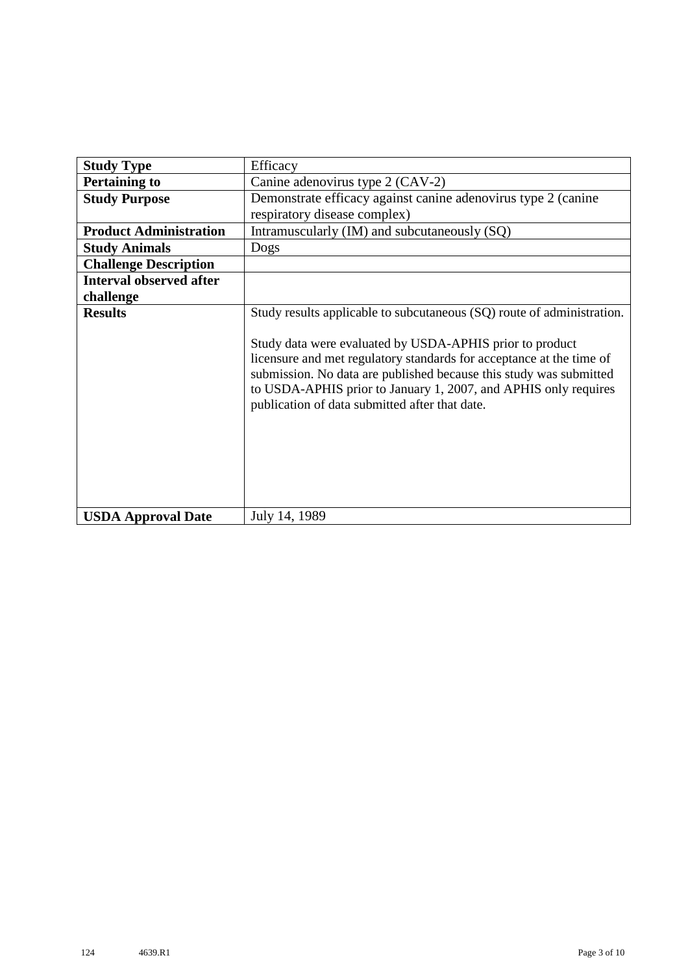| <b>Study Type</b>              | Efficacy                                                                                                                                                                                                                                                                                                                                                                                              |
|--------------------------------|-------------------------------------------------------------------------------------------------------------------------------------------------------------------------------------------------------------------------------------------------------------------------------------------------------------------------------------------------------------------------------------------------------|
| <b>Pertaining to</b>           | Canine adenovirus type 2 (CAV-2)                                                                                                                                                                                                                                                                                                                                                                      |
| <b>Study Purpose</b>           | Demonstrate efficacy against canine adenovirus type 2 (canine                                                                                                                                                                                                                                                                                                                                         |
|                                | respiratory disease complex)                                                                                                                                                                                                                                                                                                                                                                          |
| <b>Product Administration</b>  | Intramuscularly (IM) and subcutaneously (SQ)                                                                                                                                                                                                                                                                                                                                                          |
| <b>Study Animals</b>           | Dogs                                                                                                                                                                                                                                                                                                                                                                                                  |
| <b>Challenge Description</b>   |                                                                                                                                                                                                                                                                                                                                                                                                       |
| <b>Interval observed after</b> |                                                                                                                                                                                                                                                                                                                                                                                                       |
| challenge                      |                                                                                                                                                                                                                                                                                                                                                                                                       |
| <b>Results</b>                 | Study results applicable to subcutaneous (SQ) route of administration.<br>Study data were evaluated by USDA-APHIS prior to product<br>licensure and met regulatory standards for acceptance at the time of<br>submission. No data are published because this study was submitted<br>to USDA-APHIS prior to January 1, 2007, and APHIS only requires<br>publication of data submitted after that date. |
| <b>USDA Approval Date</b>      | July 14, 1989                                                                                                                                                                                                                                                                                                                                                                                         |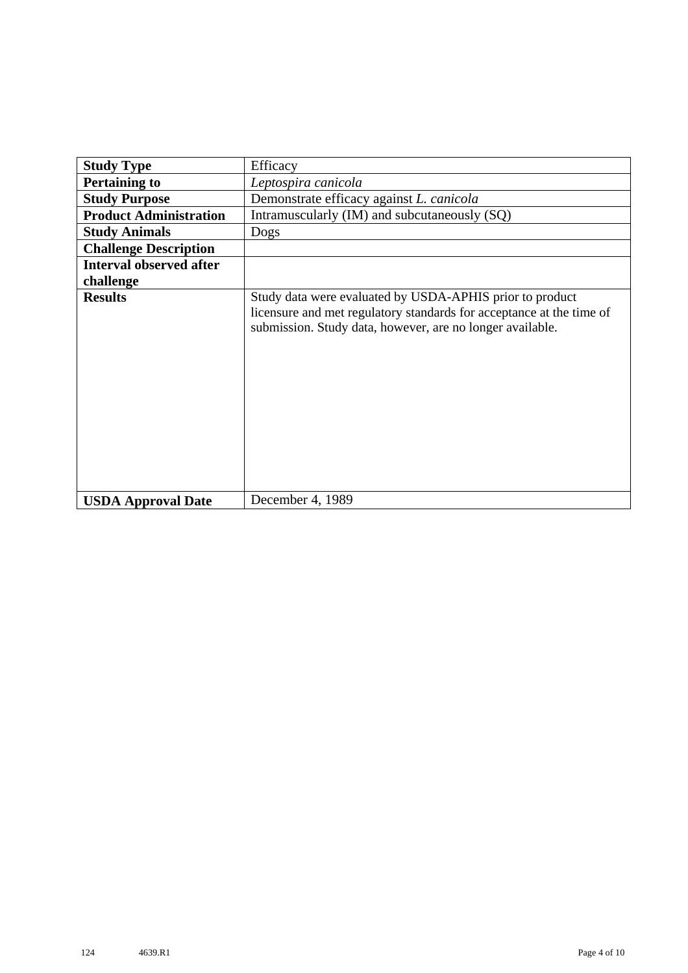| <b>Study Type</b>              | Efficacy                                                                                                                                                                                      |
|--------------------------------|-----------------------------------------------------------------------------------------------------------------------------------------------------------------------------------------------|
| <b>Pertaining to</b>           | Leptospira canicola                                                                                                                                                                           |
| <b>Study Purpose</b>           | Demonstrate efficacy against L. canicola                                                                                                                                                      |
| <b>Product Administration</b>  | Intramuscularly (IM) and subcutaneously (SQ)                                                                                                                                                  |
| <b>Study Animals</b>           | Dogs                                                                                                                                                                                          |
| <b>Challenge Description</b>   |                                                                                                                                                                                               |
| <b>Interval observed after</b> |                                                                                                                                                                                               |
| challenge                      |                                                                                                                                                                                               |
| <b>Results</b>                 | Study data were evaluated by USDA-APHIS prior to product<br>licensure and met regulatory standards for acceptance at the time of<br>submission. Study data, however, are no longer available. |
| <b>USDA Approval Date</b>      | December 4, 1989                                                                                                                                                                              |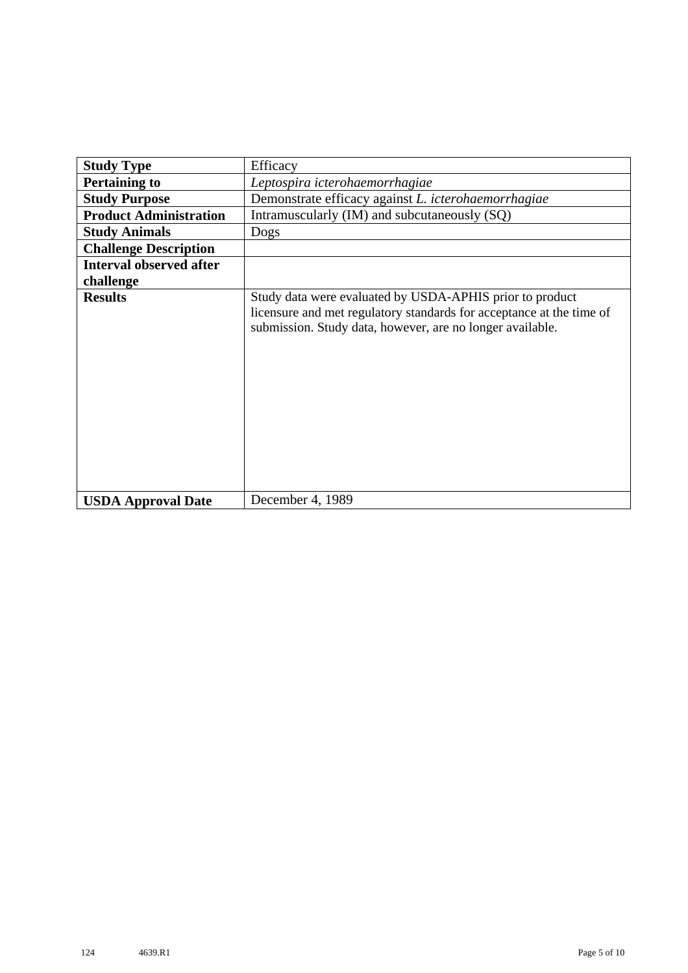| <b>Study Type</b>              | Efficacy                                                                                                                                                                                      |
|--------------------------------|-----------------------------------------------------------------------------------------------------------------------------------------------------------------------------------------------|
| <b>Pertaining to</b>           | Leptospira icterohaemorrhagiae                                                                                                                                                                |
| <b>Study Purpose</b>           | Demonstrate efficacy against L. icterohaemorrhagiae                                                                                                                                           |
| <b>Product Administration</b>  | Intramuscularly (IM) and subcutaneously (SQ)                                                                                                                                                  |
| <b>Study Animals</b>           | Dogs                                                                                                                                                                                          |
| <b>Challenge Description</b>   |                                                                                                                                                                                               |
| <b>Interval observed after</b> |                                                                                                                                                                                               |
| challenge                      |                                                                                                                                                                                               |
| <b>Results</b>                 | Study data were evaluated by USDA-APHIS prior to product<br>licensure and met regulatory standards for acceptance at the time of<br>submission. Study data, however, are no longer available. |
| <b>USDA Approval Date</b>      | December 4, 1989                                                                                                                                                                              |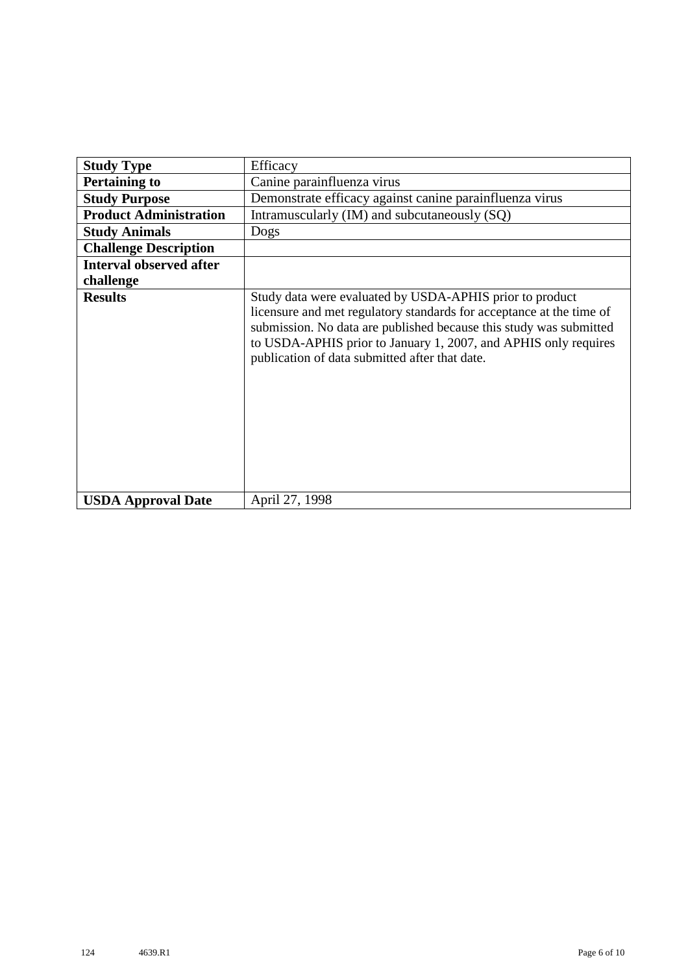| <b>Study Type</b>              | Efficacy                                                                                                                                                                                                                                                                                                                    |
|--------------------------------|-----------------------------------------------------------------------------------------------------------------------------------------------------------------------------------------------------------------------------------------------------------------------------------------------------------------------------|
| <b>Pertaining to</b>           | Canine parainfluenza virus                                                                                                                                                                                                                                                                                                  |
| <b>Study Purpose</b>           | Demonstrate efficacy against canine parainfluenza virus                                                                                                                                                                                                                                                                     |
| <b>Product Administration</b>  | Intramuscularly (IM) and subcutaneously (SQ)                                                                                                                                                                                                                                                                                |
| <b>Study Animals</b>           | Dogs                                                                                                                                                                                                                                                                                                                        |
| <b>Challenge Description</b>   |                                                                                                                                                                                                                                                                                                                             |
| <b>Interval observed after</b> |                                                                                                                                                                                                                                                                                                                             |
| challenge                      |                                                                                                                                                                                                                                                                                                                             |
| <b>Results</b>                 | Study data were evaluated by USDA-APHIS prior to product<br>licensure and met regulatory standards for acceptance at the time of<br>submission. No data are published because this study was submitted<br>to USDA-APHIS prior to January 1, 2007, and APHIS only requires<br>publication of data submitted after that date. |
| <b>USDA Approval Date</b>      | April 27, 1998                                                                                                                                                                                                                                                                                                              |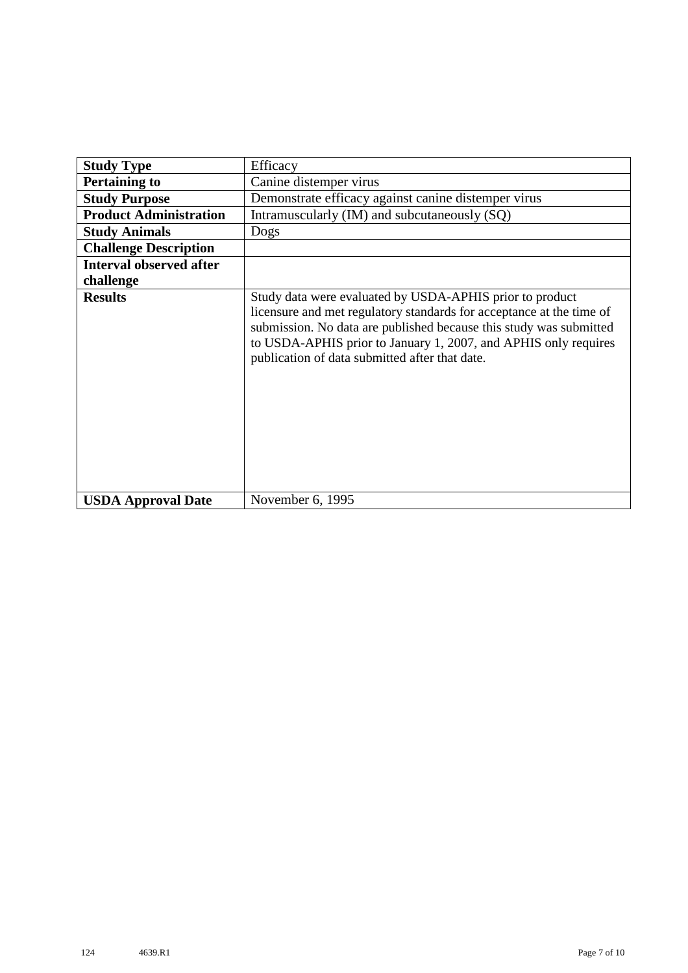|                                | Efficacy                                                                                                                                                                                                                                                                                                                    |
|--------------------------------|-----------------------------------------------------------------------------------------------------------------------------------------------------------------------------------------------------------------------------------------------------------------------------------------------------------------------------|
| <b>Study Type</b>              |                                                                                                                                                                                                                                                                                                                             |
| <b>Pertaining to</b>           | Canine distemper virus                                                                                                                                                                                                                                                                                                      |
| <b>Study Purpose</b>           | Demonstrate efficacy against canine distemper virus                                                                                                                                                                                                                                                                         |
| <b>Product Administration</b>  | Intramuscularly (IM) and subcutaneously (SQ)                                                                                                                                                                                                                                                                                |
| <b>Study Animals</b>           | Dogs                                                                                                                                                                                                                                                                                                                        |
| <b>Challenge Description</b>   |                                                                                                                                                                                                                                                                                                                             |
| <b>Interval observed after</b> |                                                                                                                                                                                                                                                                                                                             |
| challenge                      |                                                                                                                                                                                                                                                                                                                             |
| <b>Results</b>                 | Study data were evaluated by USDA-APHIS prior to product<br>licensure and met regulatory standards for acceptance at the time of<br>submission. No data are published because this study was submitted<br>to USDA-APHIS prior to January 1, 2007, and APHIS only requires<br>publication of data submitted after that date. |
| <b>USDA Approval Date</b>      | November 6, 1995                                                                                                                                                                                                                                                                                                            |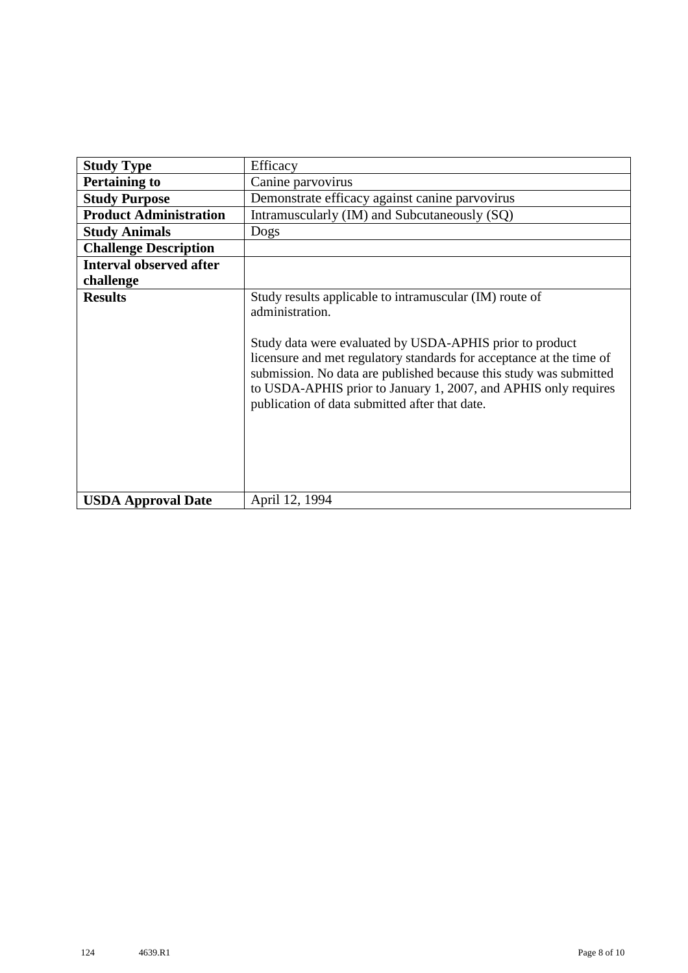| <b>Study Type</b>              | Efficacy                                                                                                                                                                                                                                                                                                                                                                                                  |
|--------------------------------|-----------------------------------------------------------------------------------------------------------------------------------------------------------------------------------------------------------------------------------------------------------------------------------------------------------------------------------------------------------------------------------------------------------|
| <b>Pertaining to</b>           | Canine parvovirus                                                                                                                                                                                                                                                                                                                                                                                         |
| <b>Study Purpose</b>           | Demonstrate efficacy against canine parvovirus                                                                                                                                                                                                                                                                                                                                                            |
| <b>Product Administration</b>  | Intramuscularly (IM) and Subcutaneously (SQ)                                                                                                                                                                                                                                                                                                                                                              |
| <b>Study Animals</b>           | Dogs                                                                                                                                                                                                                                                                                                                                                                                                      |
| <b>Challenge Description</b>   |                                                                                                                                                                                                                                                                                                                                                                                                           |
| <b>Interval observed after</b> |                                                                                                                                                                                                                                                                                                                                                                                                           |
| challenge                      |                                                                                                                                                                                                                                                                                                                                                                                                           |
| <b>Results</b>                 | Study results applicable to intramuscular (IM) route of<br>administration.<br>Study data were evaluated by USDA-APHIS prior to product<br>licensure and met regulatory standards for acceptance at the time of<br>submission. No data are published because this study was submitted<br>to USDA-APHIS prior to January 1, 2007, and APHIS only requires<br>publication of data submitted after that date. |
| <b>USDA Approval Date</b>      | April 12, 1994                                                                                                                                                                                                                                                                                                                                                                                            |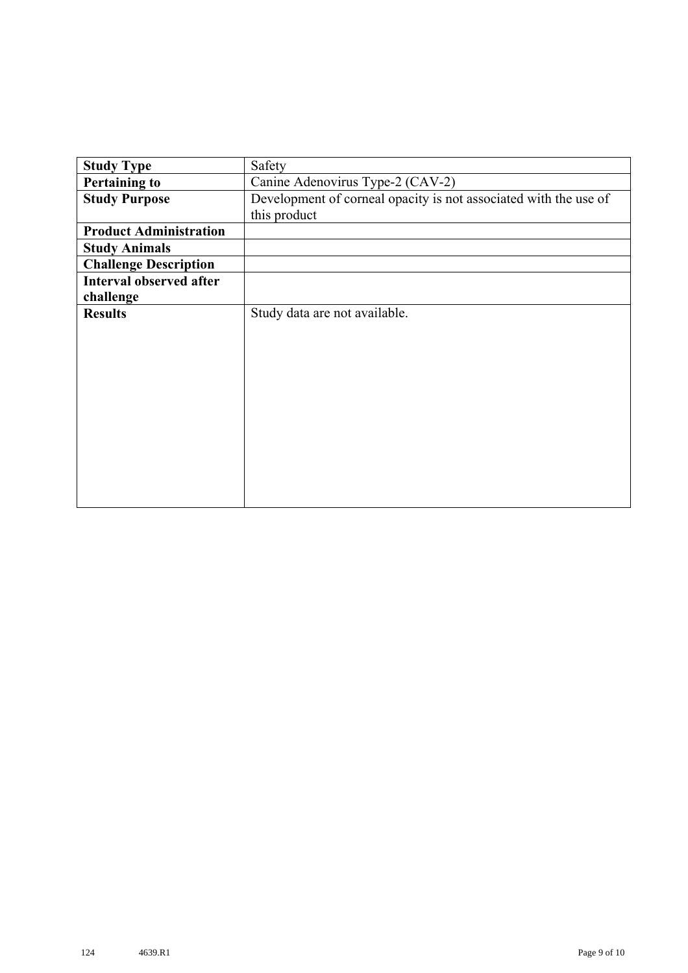| <b>Study Type</b>              | Safety                                                           |
|--------------------------------|------------------------------------------------------------------|
| <b>Pertaining to</b>           | Canine Adenovirus Type-2 (CAV-2)                                 |
| <b>Study Purpose</b>           | Development of corneal opacity is not associated with the use of |
|                                | this product                                                     |
| <b>Product Administration</b>  |                                                                  |
| <b>Study Animals</b>           |                                                                  |
| <b>Challenge Description</b>   |                                                                  |
| <b>Interval observed after</b> |                                                                  |
| challenge                      |                                                                  |
| <b>Results</b>                 | Study data are not available.                                    |
|                                |                                                                  |
|                                |                                                                  |
|                                |                                                                  |
|                                |                                                                  |
|                                |                                                                  |
|                                |                                                                  |
|                                |                                                                  |
|                                |                                                                  |
|                                |                                                                  |
|                                |                                                                  |
|                                |                                                                  |